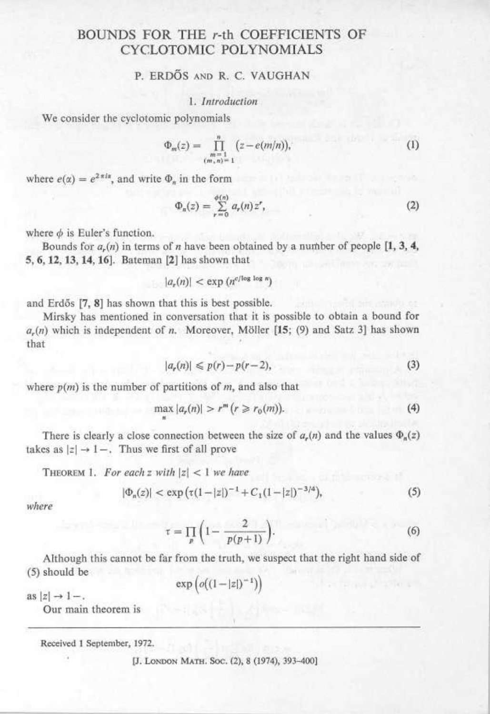# BOUNDS FOR THE r-th COEFFICIENTS OF CYCLOTOMIC POLYNOMIALS  $\overline{\text{BOUN}}$

# P. ERDŐS AND R. C. VAUGHAN

#### 1. Introduction

We consider the cyclotomic polynomials

$$
\Phi_m(z) = \prod_{\substack{m=1 \ (m,n)=1}}^n (z - e(m/n)),\tag{1}
$$

where  $e(\alpha) = e^{2\pi i \alpha}$ , and write  $\Phi_n$  in the form

$$
\Phi_n(z) = \sum_{r=0}^{\phi(n)} a_r(n) z^r, \tag{2}
$$

where  $\phi$  is Euler's function.

Bounds for  $a_n(n)$  in terms of n have been obtained by a number of people  $\left[1, 3, 4, \right]$ 5, 6, 12, 13, 14, 16] . Bateman [2] has shown that

$$
|a_r(n)| < \exp\left(n^{c/\log\log n}\right)
$$

and Erdős [7, 8] has shown that this is best possible.

Mirsky has mentioned in conversation that it is possible to obtain a bound for  $a_r(n)$  which is independent of n. Moreover, Möller [15; (9) and Satz 3] has shown that

$$
|a_r(n)| \leqslant p(r) - p(r-2),\tag{3}
$$

where  $p(m)$  is the number of partitions of m, and also that

n

$$
\max |a_r(n)| > r^m (r \ge r_0(m)). \tag{4}
$$

There is clearly a close connection between the size of  $a_r(n)$  and the values  $\Phi_n(z)$ takes as  $|z| \rightarrow 1-$ . Thus we first of all prove

THEOREM 1. For each z with  $|z| < 1$  we have

$$
|\Phi_n(z)| < \exp\left(\tau(1-|z|)^{-1} + C_1(1-|z|)^{-3/4}\right),\tag{5}
$$

where

$$
\tau = \prod_{p} \left( 1 - \frac{2}{p(p+1)} \right). \tag{6}
$$

Although this cannot be far from the truth, we suspect that the right hand side of (5) should be

$$
\exp\big(o\big((1-|z|)^{-1}\big)\big)
$$

as  $|z| \rightarrow 1-$ .

Our main theorem is

Received 1 September, 1972.

[J. LONDON MATH. Soc. (2), 8 (1974), 393-400]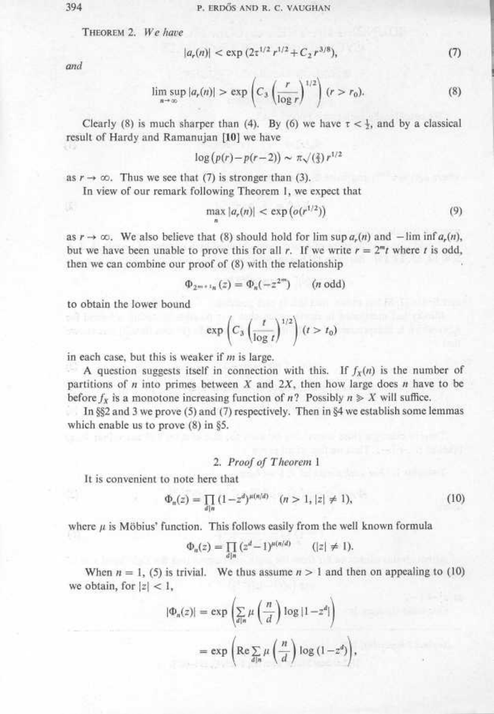$$\sf 394$$  THEORE  $$\sf 201$$ THEOREM 2. We have

$$
|a_r(n)| < \exp\left(2\tau^{1/2}r^{1/2} + C_2r^{3/8}\right),\tag{7}
$$

and

$$
\limsup_{n \to \infty} |a_r(n)| > \exp\left(C_3 \left(\frac{r}{\log r}\right)^{1/2}\right)(r > r_0). \tag{8}
$$

Clearly (8) is much sharper than (4). By (6) we have  $\tau < \frac{1}{2}$ , and by a classical result of Hardy and Ramanujan [10] we have

$$
\log (p(r) - p(r-2)) \sim \pi \sqrt{(\frac{2}{3})} r^{1/2}
$$

as  $r \to \infty$ . Thus we see that (7) is stronger than (3).

In view of our remark following Theorem 1, we expect that

n

$$
\max |a_r(n)| < \exp\left(o(r^{1/2})\right) \tag{9}
$$

as  $r \to \infty$ . We also believe that (8) should hold for  $\limsup a_r(n)$  and  $-\liminf a_r(n)$ , but we have been unable to prove this for all r. If we write  $r = 2<sup>m</sup>t$  where t is odd, then we can combine our proof of (8) with the relationship

$$
\Phi_{2^{m+1}n}(z) = \Phi_n(-z^{2^m}) \qquad (n \text{ odd})
$$

to obtain the lower bound

$$
\exp\left(C_3\left(\frac{t}{\log t}\right)^{1/2}\right)(t>t_0)
$$

in each case, but this is weaker if  $m$  is large.

A question suggests itself in connection with this. If  $f<sub>x</sub>(n)$  is the number of partitions of  $n$  into primes between  $X$  and  $2X$ , then how large does  $n$  have to be before  $f_x$  is a monotone increasing function of n? Possibly  $n \geq X$  will suffice.

In §§2 and 3 we prove (5) and (7) respectively . Then in §4 we establish some lemmas which enable us to prove (8) in §5.

### 2. Proof of Theorem <sup>1</sup>

It is convenient to note here that

$$
\Phi_n(z) = \prod_{d|n} (1 - z^d)^{\mu(n/d)} \quad (n > 1, |z| \neq 1),\tag{10}
$$

where  $\mu$  is Möbius' function. This follows easily from the well known formula

$$
\Phi_n(z) = \prod_{d|n} (z^d - 1)^{\mu(n/d)} \qquad (|z| \neq 1).
$$

When  $n = 1$ , (5) is trivial. We thus assume  $n > 1$  and then on appealing to (10) we obtain, for  $|z| < 1$ ,

$$
|\Phi_n(z)| = \exp\left(\sum_{d|n} \mu\left(\frac{n}{d}\right) \log|1-z^d|\right)
$$
  
= 
$$
\exp\left(\text{Re}\sum_{d|n} \mu\left(\frac{n}{d}\right) \log(1-z^d)\right),
$$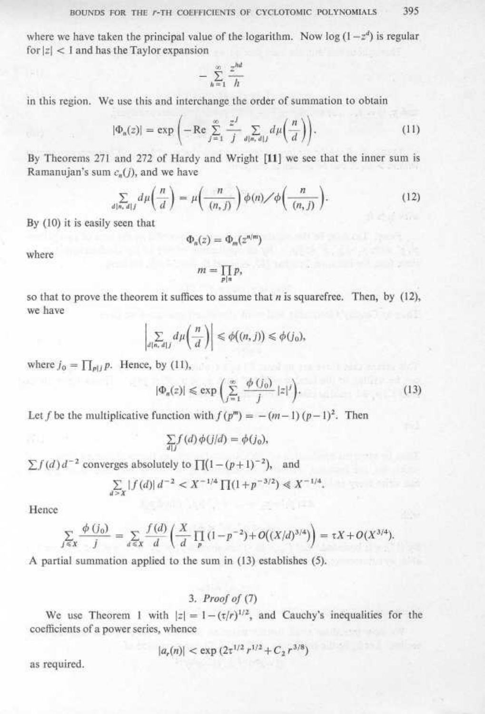where we have taken the principal value of the logarithm. Now log  $(1-z^d)$  is regular for  $|z|$  < 1 and has the Taylor expansion  $\begin{aligned} \text{BOUNDS} \\ \text{where we have } \text{ta} \\ \text{for } |z| < 1 \text{ and } \text{ha} \end{aligned}$  $\frac{B}{2}$  $B O U$ <br>where we have<br>for  $|z| < 1$  and  $\begin{aligned} \text{BOUNDS FOR} \\ \text{where we have taken t} \\ \text{for } |z| < 1 \text{ and has the'} \end{aligned}$ 

$$
-\sum_{h=1}^{\infty}\frac{z^{hd}}{h}
$$

in this region. We use this and interchange the order of summation to obtain

$$
|\Phi_a(z)| = \exp\left(-\operatorname{Re}\sum_{j=1}^{\infty} \frac{z^j}{j} \sum_{d|n, d|j} d\mu\left(\frac{n}{d}\right)\right).
$$
 (11)

By Theorems 271 and 272 of Hardy and Wright [11] we see that the inner sum is Ramanujan's sum  $c_n(j)$ , and we have in this region. W<br>By Theorems 27<br>Ramanujan's sur<br>By (10) it is easil

$$
\sum_{d|n,\ d|j} d\mu\left(\frac{n}{d}\right) = \mu\left(\frac{n}{(n,j)}\right) \phi(n) \diagup \phi\left(\frac{n}{(n,j)}\right). \tag{12}
$$

By (10) it is easily seen that

$$
\Phi_n(z)=\Phi_m(z^{n/m})
$$

where

$$
m=\prod_{p\mid n}p,
$$

so that to prove the theorem it suffices to assume that  $n$  is squarefree. Then, by (12), we have where<br>
so that to prove the theorem it suffices<br>
we have<br>  $\int_{d[n, d]j} \sum_{d|n} d\mu \left(\frac{n}{d}\right)$ where  $j_0 = \prod_{p|j} p$ . Hence, by (11),<br>  $|\Phi_n(z)| \leq$ so that to prove the vector<br>of the property of the property of the proof of the proof of the proof<br>of the proof of the proof of the proof of the proof of the proof of the proof of the proof of the proof of the proof of th

$$
\left|\sum_{d\{n,\,d\}j}d\mu\left(\frac{n}{d}\right)\right|\leq \phi\big((n,j)\big)\leq \phi(j_0),
$$

where  $j_0 = \prod_{p \mid l} p$ . Hence, by (11),

$$
|\Phi_n(z)| \leqslant \exp\left(\sum_{j=1}^{\infty} \frac{\phi(j_0)}{j} |z|^j\right).
$$
 (13)

Let f be the multiplicative function with  $f(p^m) = -(m-1)(p-1)^2$ . Then

$$
\sum_{d|j} f(d)\phi(j/d) = \phi(j_0),
$$

 $\sum f(d) d^{-1}$ <br>Hence  $\sum_{f \leq x}$ <br>A partial  $\sum f(d) d^{-1}$ <br>
Hence<br>  $\sum_{j \leq x}$ <br>
A partial  $\sum f(d) d^{-2}$  converges absolutely to  $\prod (1-(p+1)^{-2})$ , and

$$
\sum_{a>x} |f(a)| d^{-2} < X^{-1/4} \prod (1 + p^{-3/2}) \ll X^{-1/4}.
$$

Hence

$$
\sum_{j \leq x} \frac{\phi(j_0)}{j} = \sum_{d \leq x} \frac{f(d)}{d} \left( \frac{X}{d} \prod_p (1 - p^{-2}) + O((X/d)^{3/4}) \right) = \tau X + O(X^{3/4})
$$

A partial summation applied to the sum in (15) establishes (5).

# 3. Proof of (7)

We use Theorem 1 with  $|z| = 1 - (\tau/r)^{1/2}$ , and Cauchy's inequalities for the coefficients of a power series, whence

$$
|a_r(n)| < \exp\left(2\tau^{1/2}r^{1/2} + C_2r^{3/8}\right)
$$

as required.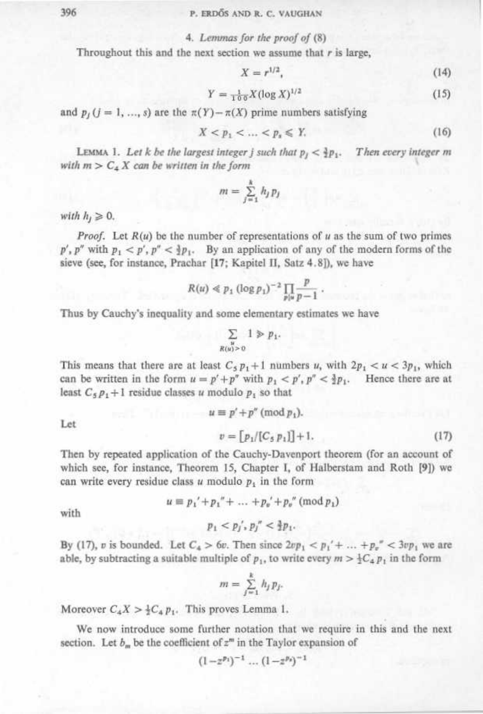## 396 P. ERDŐS AND R. C. VAUGHAN

#### 4. Lemmas for the proof of (8)

Throughout this and the next section we assume that  $r$  is large,  $$\sf 396$$  Through  $$\sf 396$$  Throug

$$
X = r^{1/2},\tag{14}
$$

$$
Y = \frac{1}{100} X (\log X)^{1/2} \tag{15}
$$

and  $p_i$  ( $j = 1, ..., s$ ) are the  $\pi(Y) - \pi(X)$  prime numbers satisfying

$$
X < p_1 < \dots < p_s \leqslant Y. \tag{16}
$$

LEMMA 1. Let k be the largest integer j such that  $p_j < \frac{3}{2}p_1$ . Then every integer m with  $m > C_4 X$  can be written in the form

$$
m = \sum_{j=1}^k h_j p_j
$$

with  $h_j \geq 0$ .

*Proof.* Let  $R(u)$  be the number of representations of u as the sum of two primes  $p'$ ,  $p''$  with  $p_1 < p'$ ,  $p'' < \frac{3}{2}p_1$ . By an application of any of the modern forms of the sieve (see, for instance, Prachar [17; Kapitel II, Satz 4.8]), we have

$$
R(u) \ll p_1 (\log p_1)^{-2} \prod_{p \mid u} \frac{p}{p-1} \, .
$$

Thus by Cauchy's inequality and some elementary estimates we have

$$
\sum_{\substack{u\\R(u)>0}}1\geqslant p_1.
$$

This means that there are at least  $C_5 p_1 + 1$  numbers u, with  $2p_1 < u < 3p_1$ , which can be written in the form  $u = p' + p''$  with  $p_1 < p', p'' < \frac{3}{2}p_1$ . Hence there are at least  $C_5 p_1 + 1$  residue classes u modulo  $p_1$  so that

 $u \equiv p' + p'' \pmod{p_1}$ .

Let

$$
v = [p_1/[C_5 p_1]] + 1.
$$
 (17)

Then by repeated application of the Cauchy-Davenport theorem (for an account of which see, for instance, Theorem 15, Chapter 1, of Halberstam and Roth [9]) we can write every residue class u modulo  $p_1$  in the form

 $u \equiv p_1' + p_1'' + \ldots + p_n' + p_n'' \pmod{p_1}$ 

with

$$
p_1 < p_j', p_j'' < \frac{3}{2} p_1.
$$

By (17), v is bounded. Let  $C_4 > 6v$ . Then since  $2vp_1 < p_1' + ... + p_v'' < 3vp_1$  we are able, by subtracting a suitable multiple of  $p_1$ , to write every  $m > \frac{1}{2}C_4 p_1$  in the form

$$
m = \sum_{j=1}^k h_j p_j.
$$

Moreover  $C_4 X > \frac{1}{2} C_4 p_1$ . This proves Lemma 1.

We now introduce some further notation that we require in this and the next section. Let  $b_m$  be the coefficient of  $z^m$  in the Taylor expansion of

$$
(1-z^{p_1})^{-1}\dots(1-z^{p_s})^{-1}
$$

 $\frac{396}{2}$  $\frac{396}{2}$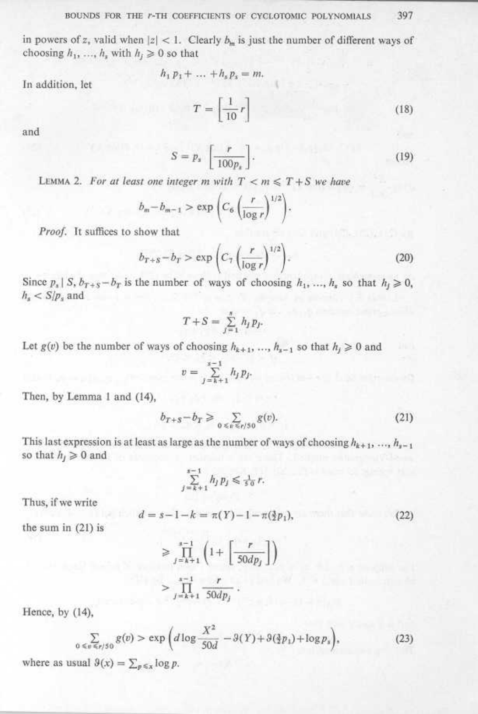#### BOUNDS FOR THE r-TH COEFFICIENTS OF CYCLOTOMIC POLYNOMIALS 397

in powers of z, valid when  $|z| < 1$ . Clearly  $b_m$  is just the number of different ways of choosing  $h_1$ , ...,  $h_s$  with  $h_i \geq 0$  so that BOUNDS FOR 1<br>in powers of  $z$ , valid wh<br>choosing  $h_1, ..., h_s$  with  $BOUN$ <br>in powers of z<br>chaoring  $\frac{b}{b}$ BOUNDS FOR<br>in powers of z, valid w<br>choosing  $h_1, ..., h_s$  with BOUNDS FOR THE *i*<br>in powers of *z*, valid when |<br>choosing  $h_1$ , ...,  $h_s$  with  $h_j$  }<br>In addition, let

In addition, let

BOUNDS FOR THE *r*-TH COEFFICIENTS OF CYCLOTONIC POLYNOMALS 397  
\nin powers of *z*, valid when 
$$
|z| < 1
$$
. Clearly  $b_m$  is just the number of different ways of choosing  $h_1, ..., h_s$  with  $h_j \ge 0$  so that  
\n
$$
h_1 p_1 + ... + h_s p_s = m.
$$
\nIn addition, let  
\n
$$
T = \begin{bmatrix} 1 \\ 10 \end{bmatrix} r
$$
\nand  
\n
$$
S = p_s \begin{bmatrix} r \\ 100 p_s \end{bmatrix}.
$$
\nLEMMA 2. For at least one integer *m* with  $T < m \le T + S$  we have  
\n
$$
b_m - b_{m-1} > \exp\left(C_6 \left(\frac{r}{\log r}\right)^{1/2}\right).
$$
\nProof. It suffices to show that  
\n
$$
b_{T+s} - b_T > \exp\left(C_7 \left(\frac{r}{\log r}\right)^{1/2}\right).
$$
\n(20)\nSince  $p_s | S, b_{T+s} - b_T$  is the number of ways of choosing  $h_1, ..., h_s$  so that  $h_j \ge 0$ ,  
\n $h_s < S/p_s$  and  
\n
$$
T + S = \sum_{j=1}^{s} h_j p_j.
$$
\nLet  $g(v)$  be the number of ways of choosing  $h_{k+1}, ..., h_{s-1}$  so that  $h_j \ge 0$  and  
\n
$$
v = \sum_{j=k+1}^{s-1} h_j p_j.
$$
\nThen, by Lemma 1 and (14),  
\n
$$
b_{T+s} - b_T \ge \sum_{0 \le s \le s/(s)} g(v).
$$
\n(21)

and

$$
S = p_s \left[ \frac{r}{100 p_s} \right]. \tag{19}
$$

LEMMA 2. For at least one integer m with  $T < m \leq T + S$  we have

$$
b_m - b_{m-1} > \exp\left(C_6 \left(\frac{r}{\log r}\right)^{1/2}\right).
$$

Proof. It suffices to show that

$$
b_{T+S} - b_T > \exp\left(C_7 \left(\frac{r}{\log r}\right)^{1/2}\right). \tag{20}
$$

Since  $p_s \mid S, b_{T+s}-b_T$  is the number of ways of choosing  $h_1, ..., h_s$  so that  $h_j \ge 0$ ,  $h_s < S/p_s$  and

$$
T + S = \sum_{j=1}^{s} h_j p_j.
$$

Let  $g(v)$  be the number of ways of choosing  $h_{k+1}$ , ...,  $h_{s-1}$  so that  $h_j \ge 0$  and

$$
v=\sum_{j=k+1}^{s-1}h_jp_j.
$$

Then, by Lemma 1 and (14),

$$
b_{T+S} - b_T \ge \sum_{0 \le v \le r/50} g(v). \tag{21}
$$

This last expression is at least as large as the number of ways of choosing  $h_{k+1}, ..., h_{s-1}$ so that  $h_j \geq 0$  and

$$
\sum_{j=k+1}^{s-1} h_j p_j \leq \frac{1}{50} r.
$$

Thus, if we write

$$
d = s - 1 - k = \pi(Y) - 1 - \pi(\frac{3}{2}p_1),\tag{22}
$$

the sum in (21) is

$$
\geqslant \prod_{j=k+1}^{s-1} \left( 1 + \left[ \frac{r}{50dp_j} \right] \right)
$$
  
> 
$$
\prod_{j=k+1}^{s-1} \frac{r}{50dp_j}.
$$

Hence, by (14),

$$
\sum_{0 \le v \le r/50} g(v) > \exp\left(d\log\frac{X^2}{50d} - 3(Y) + 3(\frac{3}{2}p_1) + \log p_s\right),\tag{23}
$$

where as usual  $\vartheta(x) = \sum_{p \leq x} \log p$ .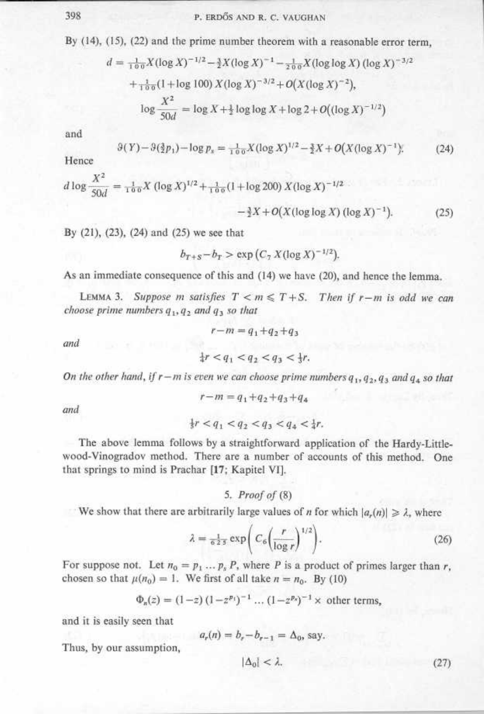$\begin{array}{c}\n 398 \\
 \hline\n \end{array}$ By (14), (15), (22) and the prime number theorem with a reasonable error term,  $\begin{array}{c}\n 398 \\
 \hline\n \text{By (1)}\n \end{array}$ 398<br>By (14), (14)<br> $d_i$ 

398 P. ERDÖS AND R. C. VAUGHAN  
\nBy (14), (15), (22) and the prime number theorem with a reasonable error term,  
\n
$$
d = \frac{1}{100} X (\log X)^{-1/2} - \frac{3}{2} X (\log X)^{-1} - \frac{1}{200} X (\log \log X) (\log X)^{-3/2}
$$
\n
$$
+ \frac{1}{100} (1 + \log 100) X (\log X)^{-3/2} + O(X (\log X)^{-2}),
$$
\n
$$
\log \frac{X^2}{50d} = \log X + \frac{1}{2} \log \log X + \log 2 + O((\log X)^{-1/2})
$$
\nand  
\n
$$
3(Y) - 3(\frac{3}{2}p_1) - \log p_x = \frac{1}{100} X (\log X)^{1/2} - \frac{3}{2} X + O(X (\log X)^{-1}).
$$
\n(24)

and

$$
9(Y) - 9(\frac{3}{2}p_1) - \log p_x = \frac{1}{100}X(\log X)^{1/2} - \frac{3}{2}X + O(X(\log X)^{-1}).\tag{24}
$$

Hence

$$
d \log \frac{X^2}{50d} = \frac{1}{100} X (\log X)^{1/2} + \frac{1}{100} (1 + \log 200) X (\log X)^{-1/2}
$$

$$
- \frac{3}{2} X + O(X (\log \log X) (\log X)^{-1}). \tag{25}
$$

By (21), (23), (24) and (25) we see that

$$
b_{T+S} - b_T > \exp\left(C_7 X (\log X)^{-1/2}\right).
$$

As an immediate consequence of this and (14) we have (20), and hence the lemma.

LEMMA 3. Suppose m satisfies  $T < m \leq T + S$ . Then if  $r - m$  is odd we can choose prime numbers  $q_3$ ,  $q_2$  and  $q_3$  so that

and

$$
\frac{1}{4}r < q_1 < q_2 < q_3 < \frac{1}{3}r.
$$

 $r-m = q_1+q_2+q_3$ 

On the other hand, if  $r-m$  is even we can choose prime numbers  $q_1, q_2, q_3$  and  $q_4$  so that

$$
r-m = q_1 + q_2 + q_3 + q_4
$$

und

$$
\tfrac{1}{3}r < q_1 < q_2 < q_3 < q_4 < \tfrac{1}{4}r.
$$

The above lemma follows by a straightforward application of the Hardy-Littlewood-Vinogradov method. There are a number of accounts of this method. One that springs to mind is Prachar [17; Kapitel VI].

5 . Proof of (8)

We show that there are arbitrarily large values of *n* for which  $|a_r(n)| \geq \lambda$ , where

$$
\lambda = \frac{1}{6\,2\,s} \exp\bigg(C_6 \bigg(\frac{r}{\log r}\bigg)^{1/2}\bigg). \tag{26}
$$

For suppose not. Let  $n_0 = p_1 \dots p_s P$ , where P is a product of primes larger than r, chosen so that  $\mu(n_0) = 1$ . We first of all take  $n = n_0$ . By (10)

$$
\Phi_n(z) = (1-z) (1-z^{p_1})^{-1} \dots (1-z^{p_x})^{-1} \times \text{ other terms,}
$$

and it is easily seen that

$$
a_r(n) = b_r - b_{r-1} = \Delta_0
$$
, say.

Thus, by our assumption,

$$
|\Delta_0| < \lambda.
$$

 $(27)$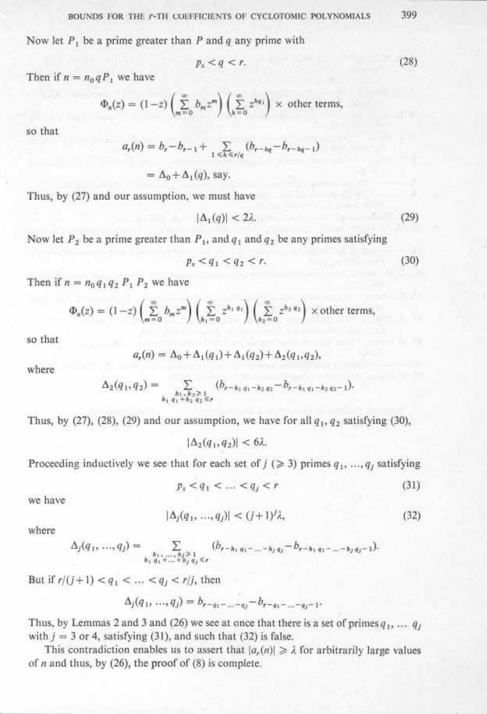$\begin{aligned} \text{BOUT} \\ \text{Now let } P_1 \text{ b} \end{aligned}$ Now let  $P_1$  be a prime greater than P and q any prime with BOUNDS FOR 1<br>Now let  $P_1$  be a prime<br>Then if  $n = n_1 a P$ , we  $\frac{B}{A}$ 

$$
p_s < q < r. \tag{28}
$$

Then if  $n = n_0 q P_1$  we have

$$
\Phi_n(z) = (1-z) \left( \sum_{m=0}^{\infty} b_m z^m \right) \left( \sum_{h=0}^{\infty} z^{hq_1} \right) \times \text{ other terms,}
$$

so that

$$
a_r(n) = b_r - b_{r-1} + \sum_{1 \le h \le r/q} (b_{r-hq} - b_{r-hq-1})
$$
  
=  $\Delta_0 + \Delta_1(q)$ , say,

Thus, by (27) and our assumption, we must have

$$
|\Delta_1(q)| < 2\lambda. \tag{29}
$$

Now let  $P_2$  be a prime greater than  $P_1$ , and  $q_1$  and  $q_2$  be any primes satisfying

$$
p_s < q_1 < q_2 < r. \tag{30}
$$

Then if  $n = n_0 q_1 q_2 P_1 P_2$  we have

$$
\Phi_n(z) = (1-z) \left( \sum_{m=0}^{\infty} b_m z^m \right) \left( \sum_{h_1=0}^{\infty} z^{h_1 q_1} \right) \left( \sum_{h_2=0}^{\infty} z^{h_2 q_2} \right) \times \text{other terms},
$$

so that

$$
a_r(n) = \Delta_0 + \Delta_1(q_1) + \Delta_1(q_2) + \Delta_2(q_1, q_2),
$$

where

$$
\Delta_2(q_1,q_2)=\sum\limits_{\substack{h_1\times h_2\ge 1\\ h_1\cdot q_1+h_2\cdot q_2\le r}}(b_{r-h_1\cdot q_1-h_2\cdot q_2}-b_{r-h_1\cdot q_1-h_2\cdot q_2-1}).
$$

Thus, by (27), (28), (29) and our assumption, we have for all  $q_1$ ,  $q_2$  satisfying (30),

 $|\Delta_2(q_1,q_2)| < 6\lambda$ .

Proceeding inductively we see that for each set of  $j$  ( $\geq 3$ ) primes  $q_1, ..., q_j$  satisfying

$$
p_s < q_1 < \dots < q_j < r \tag{31}
$$

we have

$$
|\Delta_j(q_1, ..., q_j)| < (j+1)/\lambda,\tag{32}
$$

where

$$
\Delta_j(q_1, ..., q_j) = \sum_{\substack{h_1, ..., h_j \ge 1 \\ h_j, q_1 + ... + h_j, q_j \le r}} (b_{r-h_1q_1 - ... - h_jq_j} - b_{r-h_1q_1 - ... - h_jq_j-1}).
$$

But if  $r/(j+1) < q_1 < ... < q_j < r/j$ , then

$$
\Delta_j(q_1, ..., q_j) = b_{r-q_1 - ... - q_j} - b_{r-q_1 - ... - q_j - 1}.
$$

Thus, by Lemmas 2 and 3 and (26) we see at once that there is a set of primes  $q_1, \ldots, q_j$ with  $j = 3$  or 4, satisfying (31), and such that (32) is false.

This contradiction enables us to assert that  $|a_r(n)| \geq \lambda$  for arbitrarily large values of  $n$  and thus, by (26), the proof of (8) is complete.